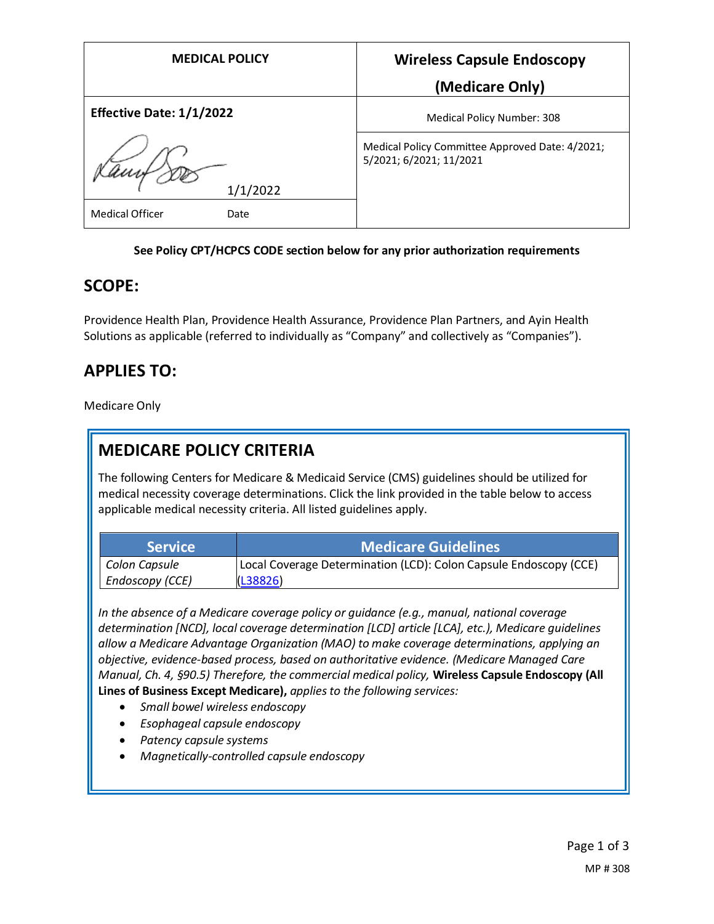| <b>MEDICAL POLICY</b>          | <b>Wireless Capsule Endoscopy</b>                                          |
|--------------------------------|----------------------------------------------------------------------------|
|                                | (Medicare Only)                                                            |
| Effective Date: 1/1/2022       | Medical Policy Number: 308                                                 |
|                                | Medical Policy Committee Approved Date: 4/2021;<br>5/2021; 6/2021; 11/2021 |
| 1/1/2022                       |                                                                            |
| <b>Medical Officer</b><br>Date |                                                                            |

#### **See Policy CPT/HCPCS CODE section below for any prior authorization requirements**

### **SCOPE:**

Providence Health Plan, Providence Health Assurance, Providence Plan Partners, and Ayin Health Solutions as applicable (referred to individually as "Company" and collectively as "Companies").

## **APPLIES TO:**

Medicare Only

## **MEDICARE POLICY CRITERIA**

The following Centers for Medicare & Medicaid Service (CMS) guidelines should be utilized for medical necessity coverage determinations. Click the link provided in the table below to access applicable medical necessity criteria. All listed guidelines apply.

| <b>Service</b>  | <b>Medicare Guidelines</b>                                        |
|-----------------|-------------------------------------------------------------------|
| Colon Capsule   | Local Coverage Determination (LCD): Colon Capsule Endoscopy (CCE) |
| Endoscopy (CCE) | (L38826)                                                          |

*In the absence of a Medicare coverage policy or guidance (e.g., manual, national coverage determination [NCD], local coverage determination [LCD] article [LCA], etc.), Medicare guidelines allow a Medicare Advantage Organization (MAO) to make coverage determinations, applying an objective, evidence-based process, based on authoritative evidence. (Medicare Managed Care Manual, Ch. 4, §90.5) Therefore, the commercial medical policy,* **Wireless Capsule Endoscopy (All Lines of Business Except Medicare),** *applies to the following services:*

- *Small bowel wireless endoscopy*
- *Esophageal capsule endoscopy*
- *Patency capsule systems*
- *Magnetically-controlled capsule endoscopy*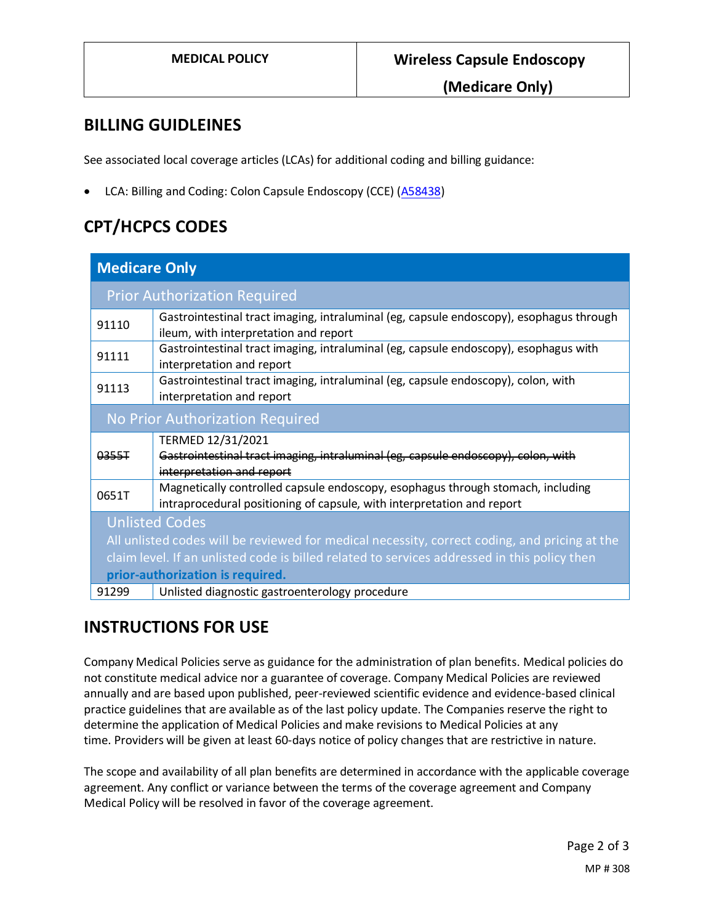**(Medicare Only)**

### **BILLING GUIDLEINES**

See associated local coverage articles (LCAs) for additional coding and billing guidance:

• LCA: Billing and Coding: Colon Capsule Endoscopy (CCE) [\(A58438\)](https://www.cms.gov/medicare-coverage-database/view/article.aspx?articleId=58438)

# **CPT/HCPCS CODES**

| <b>Medicare Only</b>                                                                          |                                                                                                                                  |  |
|-----------------------------------------------------------------------------------------------|----------------------------------------------------------------------------------------------------------------------------------|--|
| <b>Prior Authorization Required</b>                                                           |                                                                                                                                  |  |
| 91110                                                                                         | Gastrointestinal tract imaging, intraluminal (eg, capsule endoscopy), esophagus through<br>ileum, with interpretation and report |  |
| 91111                                                                                         | Gastrointestinal tract imaging, intraluminal (eg, capsule endoscopy), esophagus with<br>interpretation and report                |  |
| 91113                                                                                         | Gastrointestinal tract imaging, intraluminal (eg, capsule endoscopy), colon, with<br>interpretation and report                   |  |
| No Prior Authorization Required                                                               |                                                                                                                                  |  |
|                                                                                               | TERMED 12/31/2021                                                                                                                |  |
| 0355T                                                                                         | Gastrointestinal tract imaging, intraluminal (eg, capsule endoscopy), colon, with                                                |  |
|                                                                                               | interpretation and report                                                                                                        |  |
| 0651T                                                                                         | Magnetically controlled capsule endoscopy, esophagus through stomach, including                                                  |  |
|                                                                                               | intraprocedural positioning of capsule, with interpretation and report                                                           |  |
| <b>Unlisted Codes</b>                                                                         |                                                                                                                                  |  |
| All unlisted codes will be reviewed for medical necessity, correct coding, and pricing at the |                                                                                                                                  |  |
| claim level. If an unlisted code is billed related to services addressed in this policy then  |                                                                                                                                  |  |
| prior-authorization is required.                                                              |                                                                                                                                  |  |
| 91299                                                                                         | Unlisted diagnostic gastroenterology procedure                                                                                   |  |

## **INSTRUCTIONS FOR USE**

Company Medical Policies serve as guidance for the administration of plan benefits. Medical policies do not constitute medical advice nor a guarantee of coverage. Company Medical Policies are reviewed annually and are based upon published, peer-reviewed scientific evidence and evidence-based clinical practice guidelines that are available as of the last policy update. The Companies reserve the right to determine the application of Medical Policies and make revisions to Medical Policies at any time. Providers will be given at least 60-days notice of policy changes that are restrictive in nature.

The scope and availability of all plan benefits are determined in accordance with the applicable coverage agreement. Any conflict or variance between the terms of the coverage agreement and Company Medical Policy will be resolved in favor of the coverage agreement.